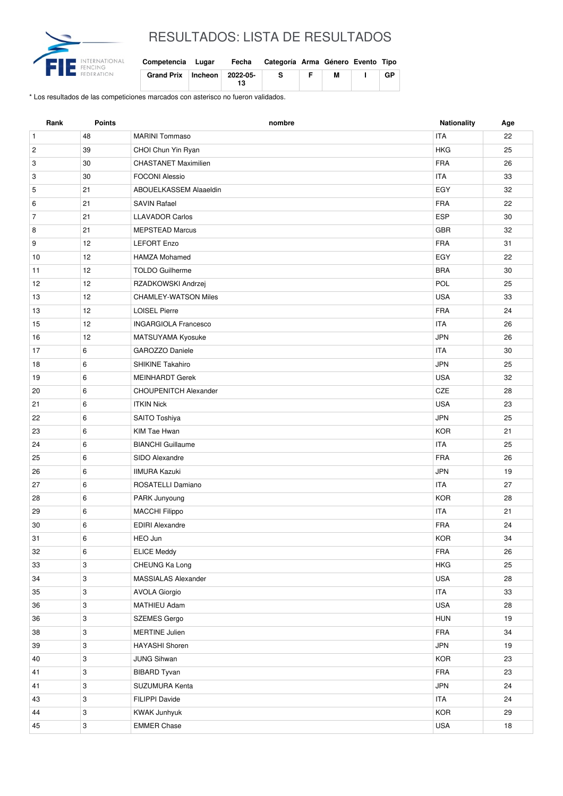

## RESULTADOS: LISTA DE RESULTADOS

| Competencia Lugar               | Fecha | Categoría Arma Género Evento Tipo |   |    |
|---------------------------------|-------|-----------------------------------|---|----|
| Grand Prix   Incheon   2022-05- | 13    | -S                                | М | GP |

\* Los resultados de las competiciones marcados con asterisco no fueron validados.

| Rank           | Points     | nombre                       | Nationality | Age |
|----------------|------------|------------------------------|-------------|-----|
| $\mathbf{1}$   | 48         | <b>MARINI Tommaso</b>        | <b>ITA</b>  | 22  |
| $\overline{c}$ | 39         | CHOI Chun Yin Ryan           | <b>HKG</b>  | 25  |
| 3              | 30         | <b>CHASTANET Maximilien</b>  | <b>FRA</b>  | 26  |
| 3              | 30         | <b>FOCONI Alessio</b>        | <b>ITA</b>  | 33  |
| 5              | 21         | ABOUELKASSEM Alaaeldin       | EGY         | 32  |
| 6              | 21         | <b>SAVIN Rafael</b>          | <b>FRA</b>  | 22  |
| $\overline{7}$ | 21         | <b>LLAVADOR Carlos</b>       | <b>ESP</b>  | 30  |
| 8              | 21         | <b>MEPSTEAD Marcus</b>       | GBR         | 32  |
| 9              | 12         | <b>LEFORT Enzo</b>           | <b>FRA</b>  | 31  |
| 10             | 12         | <b>HAMZA Mohamed</b>         | EGY         | 22  |
| 11             | 12         | <b>TOLDO Guilherme</b>       | <b>BRA</b>  | 30  |
| 12             | 12         | RZADKOWSKI Andrzej           | POL         | 25  |
| 13             | 12         | <b>CHAMLEY-WATSON Miles</b>  | <b>USA</b>  | 33  |
| 13             | 12         | <b>LOISEL Pierre</b>         | <b>FRA</b>  | 24  |
| 15             | 12         | <b>INGARGIOLA Francesco</b>  | <b>ITA</b>  | 26  |
| 16             | 12         | MATSUYAMA Kyosuke            | <b>JPN</b>  | 26  |
| 17             | 6          | GAROZZO Daniele              | <b>ITA</b>  | 30  |
| 18             | 6          | <b>SHIKINE Takahiro</b>      | <b>JPN</b>  | 25  |
| 19             | 6          | <b>MEINHARDT Gerek</b>       | <b>USA</b>  | 32  |
| 20             | 6          | <b>CHOUPENITCH Alexander</b> | CZE         | 28  |
| 21             | 6          | <b>ITKIN Nick</b>            | <b>USA</b>  | 23  |
| 22             | 6          | SAITO Toshiya                | <b>JPN</b>  | 25  |
| 23             | 6          | KIM Tae Hwan                 | <b>KOR</b>  | 21  |
| 24             | 6          | <b>BIANCHI</b> Guillaume     | <b>ITA</b>  | 25  |
| 25             | 6          | SIDO Alexandre               | <b>FRA</b>  | 26  |
| 26             | 6          | <b>IIMURA Kazuki</b>         | <b>JPN</b>  | 19  |
| 27             | 6          | ROSATELLI Damiano            | <b>ITA</b>  | 27  |
| 28             | 6          | PARK Junyoung                | <b>KOR</b>  | 28  |
| 29             | 6          | <b>MACCHI Filippo</b>        | <b>ITA</b>  | 21  |
| 30             | 6          | <b>EDIRI Alexandre</b>       | <b>FRA</b>  | 24  |
| 31             | 6          | HEO Jun                      | KOR         | 34  |
| 32             | 6          | <b>ELICE Meddy</b>           | FRA         | 26  |
| 33             | 3          | CHEUNG Ka Long               | <b>HKG</b>  | 25  |
| 34             | $\sqrt{3}$ | MASSIALAS Alexander          | <b>USA</b>  | 28  |
| 35             | 3          | <b>AVOLA Giorgio</b>         | ITA         | 33  |
| 36             | 3          | MATHIEU Adam                 | USA         | 28  |
| 36             | 3          | <b>SZEMES Gergo</b>          | <b>HUN</b>  | 19  |
| 38             | 3          | <b>MERTINE Julien</b>        | FRA         | 34  |
| 39             | 3          | <b>HAYASHI Shoren</b>        | JPN         | 19  |
| 40             | 3          | <b>JUNG Sihwan</b>           | <b>KOR</b>  | 23  |
| 41             | 3          | <b>BIBARD Tyvan</b>          | FRA         | 23  |
| 41             | 3          | SUZUMURA Kenta               | <b>JPN</b>  | 24  |
| 43             | 3          | FILIPPI Davide               | ITA         | 24  |
| 44             | 3          | <b>KWAK Junhyuk</b>          | <b>KOR</b>  | 29  |
| 45             | $\sqrt{3}$ | <b>EMMER Chase</b>           | <b>USA</b>  | 18  |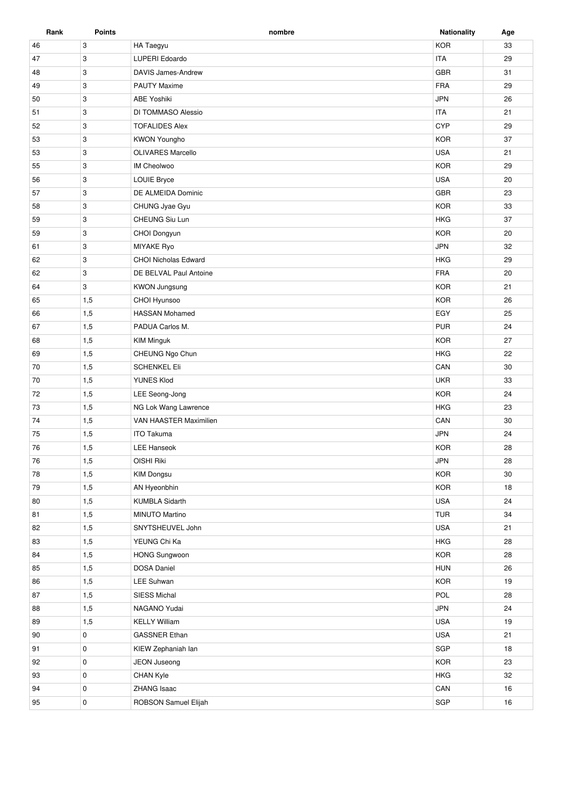| Rank | <b>Points</b>             | nombre                      | <b>Nationality</b> | Age |
|------|---------------------------|-----------------------------|--------------------|-----|
| 46   | 3                         | HA Taegyu                   | <b>KOR</b>         | 33  |
| 47   | 3                         | LUPERI Edoardo              | <b>ITA</b>         | 29  |
| 48   | 3                         | <b>DAVIS James-Andrew</b>   | <b>GBR</b>         | 31  |
| 49   | 3                         | <b>PAUTY Maxime</b>         | <b>FRA</b>         | 29  |
| 50   | 3                         | <b>ABE Yoshiki</b>          | <b>JPN</b>         | 26  |
| 51   | 3                         | DI TOMMASO Alessio          | <b>ITA</b>         | 21  |
| 52   | 3                         | <b>TOFALIDES Alex</b>       | <b>CYP</b>         | 29  |
| 53   | 3                         | <b>KWON Youngho</b>         | <b>KOR</b>         | 37  |
| 53   | 3                         | <b>OLIVARES Marcello</b>    | <b>USA</b>         | 21  |
| 55   | $\ensuremath{\mathsf{3}}$ | <b>IM Cheolwoo</b>          | <b>KOR</b>         | 29  |
| 56   | 3                         | <b>LOUIE Bryce</b>          | <b>USA</b>         | 20  |
| 57   | 3                         | DE ALMEIDA Dominic          | <b>GBR</b>         | 23  |
| 58   | 3                         | CHUNG Jyae Gyu              | <b>KOR</b>         | 33  |
| 59   | 3                         | CHEUNG Siu Lun              | <b>HKG</b>         | 37  |
| 59   | 3                         | CHOI Dongyun                | <b>KOR</b>         | 20  |
| 61   | 3                         | MIYAKE Ryo                  | <b>JPN</b>         | 32  |
| 62   | 3                         | <b>CHOI Nicholas Edward</b> | <b>HKG</b>         | 29  |
| 62   | 3                         | DE BELVAL Paul Antoine      | <b>FRA</b>         | 20  |
| 64   | 3                         | <b>KWON Jungsung</b>        | <b>KOR</b>         | 21  |
| 65   | 1,5                       | CHOI Hyunsoo                | <b>KOR</b>         | 26  |
| 66   | 1,5                       | <b>HASSAN Mohamed</b>       | EGY                | 25  |
| 67   | 1,5                       | PADUA Carlos M.             | <b>PUR</b>         | 24  |
| 68   | 1,5                       | <b>KIM Minguk</b>           | <b>KOR</b>         | 27  |
| 69   | 1,5                       | CHEUNG Ngo Chun             | <b>HKG</b>         | 22  |
| 70   | 1,5                       | <b>SCHENKEL Eli</b>         | CAN                | 30  |
| 70   | 1,5                       | YUNES Klod                  | <b>UKR</b>         | 33  |
| 72   | 1,5                       | LEE Seong-Jong              | <b>KOR</b>         | 24  |
| 73   | 1,5                       | NG Lok Wang Lawrence        | <b>HKG</b>         | 23  |
| 74   | 1,5                       | VAN HAASTER Maximilien      | CAN                | 30  |
| 75   | 1,5                       | <b>ITO Takuma</b>           | <b>JPN</b>         | 24  |
| 76   | 1,5                       | <b>LEE Hanseok</b>          | <b>KOR</b>         | 28  |
| 76   | 1,5                       | OISHI Riki                  | <b>JPN</b>         | 28  |
| 78   | 1,5                       | <b>KIM Dongsu</b>           | <b>KOR</b>         | 30  |
| 79   | 1,5                       | AN Hyeonbhin                | KOR                | 18  |
| 80   | 1,5                       | <b>KUMBLA Sidarth</b>       | <b>USA</b>         | 24  |
| 81   | 1,5                       | MINUTO Martino              | <b>TUR</b>         | 34  |
| 82   | 1,5                       | SNYTSHEUVEL John            | <b>USA</b>         | 21  |
| 83   | 1,5                       | YEUNG Chi Ka                | <b>HKG</b>         | 28  |
| 84   | 1,5                       | <b>HONG Sungwoon</b>        | <b>KOR</b>         | 28  |
| 85   | 1,5                       | <b>DOSA Daniel</b>          | <b>HUN</b>         | 26  |
| 86   | 1,5                       | LEE Suhwan                  | KOR                | 19  |
| 87   | 1,5                       | SIESS Michal                | <b>POL</b>         | 28  |
| 88   | 1,5                       | NAGANO Yudai                | <b>JPN</b>         | 24  |
| 89   | 1,5                       | <b>KELLY William</b>        | <b>USA</b>         | 19  |
| 90   | $\mathsf 0$               | <b>GASSNER Ethan</b>        | <b>USA</b>         | 21  |
| 91   | $\mathbf 0$               | KIEW Zephaniah lan          | SGP                | 18  |
| 92   | $\mathbf 0$               | JEON Juseong                | <b>KOR</b>         | 23  |
| 93   | $\mathsf 0$               | CHAN Kyle                   | <b>HKG</b>         | 32  |
| 94   | $\mathbf 0$               | ZHANG Isaac                 | CAN                | 16  |
| 95   | $\mathbf 0$               | ROBSON Samuel Elijah        | SGP                | 16  |
|      |                           |                             |                    |     |